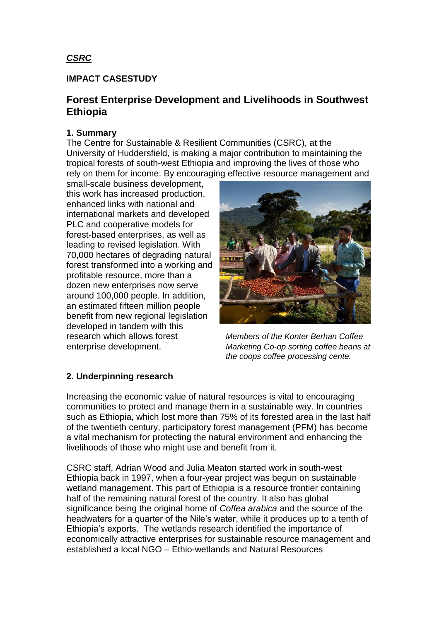## *CSRC*

### **IMPACT CASESTUDY**

# **Forest Enterprise Development and Livelihoods in Southwest Ethiopia**

### **1. Summary**

The Centre for Sustainable & Resilient Communities (CSRC), at the University of Huddersfield, is making a major contribution to maintaining the tropical forests of south-west Ethiopia and improving the lives of those who rely on them for income. By encouraging effective resource management and

small-scale business development, this work has increased production, enhanced links with national and international markets and developed PLC and cooperative models for forest-based enterprises, as well as leading to revised legislation. With 70,000 hectares of degrading natural forest transformed into a working and profitable resource, more than a dozen new enterprises now serve around 100,000 people. In addition, an estimated fifteen million people benefit from new regional legislation developed in tandem with this research which allows forest *Members of the Konter Berhan Coffee* 



enterprise development. *Marketing Co-op sorting coffee beans at the coops coffee processing cente.*

### **2. Underpinning research**

Increasing the economic value of natural resources is vital to encouraging communities to protect and manage them in a sustainable way. In countries such as Ethiopia, which lost more than 75% of its forested area in the last half of the twentieth century, participatory forest management (PFM) has become a vital mechanism for protecting the natural environment and enhancing the livelihoods of those who might use and benefit from it.

CSRC staff, Adrian Wood and Julia Meaton started work in south-west Ethiopia back in 1997, when a four-year project was begun on sustainable wetland management. This part of Ethiopia is a resource frontier containing half of the remaining natural forest of the country. It also has global significance being the original home of *Coffea arabica* and the source of the headwaters for a quarter of the Nile"s water, while it produces up to a tenth of Ethiopia"s exports. The wetlands research identified the importance of economically attractive enterprises for sustainable resource management and established a local NGO – Ethio-wetlands and Natural Resources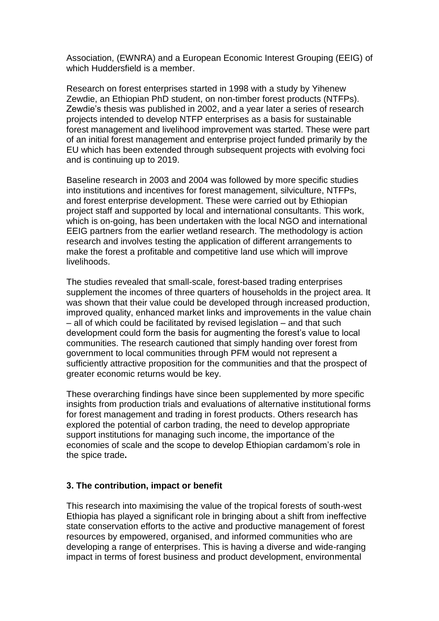Association, (EWNRA) and a European Economic Interest Grouping (EEIG) of which Huddersfield is a member.

Research on forest enterprises started in 1998 with a study by Yihenew Zewdie, an Ethiopian PhD student, on non-timber forest products (NTFPs). Zewdie"s thesis was published in 2002, and a year later a series of research projects intended to develop NTFP enterprises as a basis for sustainable forest management and livelihood improvement was started. These were part of an initial forest management and enterprise project funded primarily by the EU which has been extended through subsequent projects with evolving foci and is continuing up to 2019.

Baseline research in 2003 and 2004 was followed by more specific studies into institutions and incentives for forest management, silviculture, NTFPs, and forest enterprise development. These were carried out by Ethiopian project staff and supported by local and international consultants. This work, which is on-going, has been undertaken with the local NGO and international EEIG partners from the earlier wetland research. The methodology is action research and involves testing the application of different arrangements to make the forest a profitable and competitive land use which will improve livelihoods.

The studies revealed that small-scale, forest-based trading enterprises supplement the incomes of three quarters of households in the project area. It was shown that their value could be developed through increased production, improved quality, enhanced market links and improvements in the value chain – all of which could be facilitated by revised legislation – and that such development could form the basis for augmenting the forest's value to local communities. The research cautioned that simply handing over forest from government to local communities through PFM would not represent a sufficiently attractive proposition for the communities and that the prospect of greater economic returns would be key.

These overarching findings have since been supplemented by more specific insights from production trials and evaluations of alternative institutional forms for forest management and trading in forest products. Others research has explored the potential of carbon trading, the need to develop appropriate support institutions for managing such income, the importance of the economies of scale and the scope to develop Ethiopian cardamom"s role in the spice trade**.** 

### **3. The contribution, impact or benefit**

This research into maximising the value of the tropical forests of south-west Ethiopia has played a significant role in bringing about a shift from ineffective state conservation efforts to the active and productive management of forest resources by empowered, organised, and informed communities who are developing a range of enterprises. This is having a diverse and wide-ranging impact in terms of forest business and product development, environmental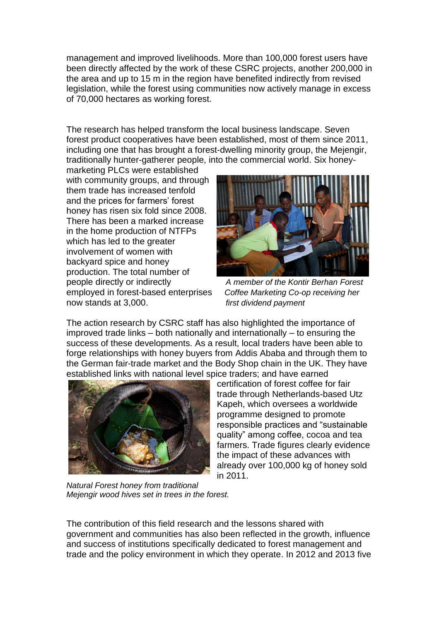management and improved livelihoods. More than 100,000 forest users have been directly affected by the work of these CSRC projects, another 200,000 in the area and up to 15 m in the region have benefited indirectly from revised legislation, while the forest using communities now actively manage in excess of 70,000 hectares as working forest.

The research has helped transform the local business landscape. Seven forest product cooperatives have been established, most of them since 2011, including one that has brought a forest-dwelling minority group, the Mejengir, traditionally hunter-gatherer people, into the commercial world. Six honey-

marketing PLCs were established with community groups, and through them trade has increased tenfold and the prices for farmers' forest honey has risen six fold since 2008. There has been a marked increase in the home production of NTFPs which has led to the greater involvement of women with backyard spice and honey production. The total number of people directly or indirectly *A member of the Kontir Berhan Forest* employed in forest-based enterprises *Coffee Marketing Co-op receiving her* now stands at 3,000. *first dividend payment*



The action research by CSRC staff has also highlighted the importance of improved trade links – both nationally and internationally – to ensuring the success of these developments. As a result, local traders have been able to forge relationships with honey buyers from Addis Ababa and through them to the German fair-trade market and the Body Shop chain in the UK. They have established links with national level spice traders; and have earned



certification of forest coffee for fair trade through Netherlands-based Utz Kapeh, which oversees a worldwide programme designed to promote responsible practices and "sustainable quality" among coffee, cocoa and tea farmers. Trade figures clearly evidence the impact of these advances with already over 100,000 kg of honey sold in 2011.

*Natural Forest honey from traditional Mejengir wood hives set in trees in the forest.* 

The contribution of this field research and the lessons shared with government and communities has also been reflected in the growth, influence and success of institutions specifically dedicated to forest management and trade and the policy environment in which they operate. In 2012 and 2013 five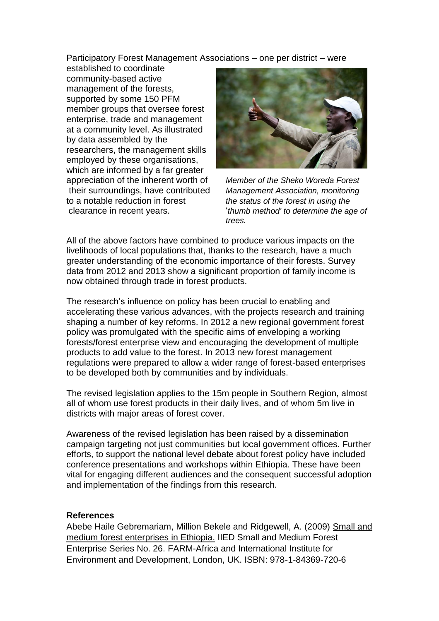Participatory Forest Management Associations – one per district – were

established to coordinate community-based active management of the forests, supported by some 150 PFM member groups that oversee forest enterprise, trade and management at a community level. As illustrated by data assembled by the researchers, the management skills employed by these organisations, which are informed by a far greater appreciation of the inherent worth of *Member of the Sheko Woreda Forest*  their surroundings, have contributed *Management Association, monitoring*  to a notable reduction in forest *the status of the forest in using the* 



clearance in recent years. "*thumb method' to determine the age of trees.* 

All of the above factors have combined to produce various impacts on the livelihoods of local populations that, thanks to the research, have a much greater understanding of the economic importance of their forests. Survey data from 2012 and 2013 show a significant proportion of family income is now obtained through trade in forest products.

The research"s influence on policy has been crucial to enabling and accelerating these various advances, with the projects research and training shaping a number of key reforms. In 2012 a new regional government forest policy was promulgated with the specific aims of enveloping a working forests/forest enterprise view and encouraging the development of multiple products to add value to the forest. In 2013 new forest management regulations were prepared to allow a wider range of forest-based enterprises to be developed both by communities and by individuals.

The revised legislation applies to the 15m people in Southern Region, almost all of whom use forest products in their daily lives, and of whom 5m live in districts with major areas of forest cover.

Awareness of the revised legislation has been raised by a dissemination campaign targeting not just communities but local government offices. Further efforts, to support the national level debate about forest policy have included conference presentations and workshops within Ethiopia. These have been vital for engaging different audiences and the consequent successful adoption and implementation of the findings from this research.

### **References**

Abebe Haile Gebremariam, Million Bekele and Ridgewell, A. (2009) Small and medium forest enterprises in Ethiopia. IIED Small and Medium Forest Enterprise Series No. 26. FARM-Africa and International Institute for Environment and Development, London, UK. ISBN: 978-1-84369-720-6